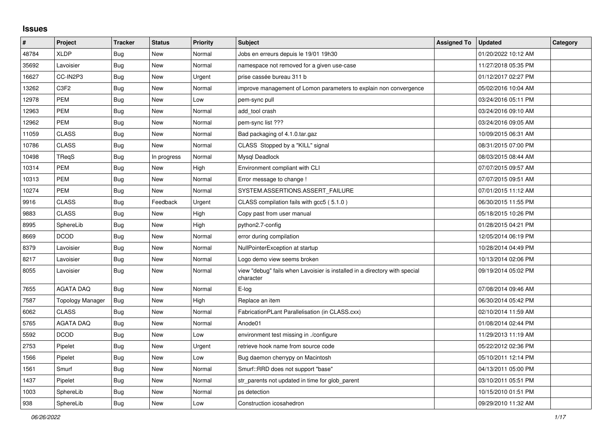## **Issues**

| #     | Project          | <b>Tracker</b> | <b>Status</b> | <b>Priority</b> | <b>Subject</b>                                                                          | <b>Assigned To</b> | <b>Updated</b>      | Category |
|-------|------------------|----------------|---------------|-----------------|-----------------------------------------------------------------------------------------|--------------------|---------------------|----------|
| 48784 | <b>XLDP</b>      | Bug            | New           | Normal          | Jobs en erreurs depuis le 19/01 19h30                                                   |                    | 01/20/2022 10:12 AM |          |
| 35692 | Lavoisier        | Bug            | New           | Normal          | namespace not removed for a given use-case                                              |                    | 11/27/2018 05:35 PM |          |
| 16627 | CC-IN2P3         | Bug            | New           | Urgent          | prise cassée bureau 311 b                                                               |                    | 01/12/2017 02:27 PM |          |
| 13262 | C3F2             | Bug            | New           | Normal          | improve management of Lomon parameters to explain non convergence                       |                    | 05/02/2016 10:04 AM |          |
| 12978 | <b>PEM</b>       | Bug            | <b>New</b>    | Low             | pem-sync pull                                                                           |                    | 03/24/2016 05:11 PM |          |
| 12963 | <b>PEM</b>       | Bug            | New           | Normal          | add tool crash                                                                          |                    | 03/24/2016 09:10 AM |          |
| 12962 | <b>PEM</b>       | Bug            | New           | Normal          | pem-sync list ???                                                                       |                    | 03/24/2016 09:05 AM |          |
| 11059 | <b>CLASS</b>     | <b>Bug</b>     | New           | Normal          | Bad packaging of 4.1.0.tar.gaz                                                          |                    | 10/09/2015 06:31 AM |          |
| 10786 | <b>CLASS</b>     | Bug            | <b>New</b>    | Normal          | CLASS Stopped by a "KILL" signal                                                        |                    | 08/31/2015 07:00 PM |          |
| 10498 | TRegS            | Bug            | In progress   | Normal          | Mysgl Deadlock                                                                          |                    | 08/03/2015 08:44 AM |          |
| 10314 | <b>PEM</b>       | Bug            | New           | High            | Environment compliant with CLI                                                          |                    | 07/07/2015 09:57 AM |          |
| 10313 | <b>PEM</b>       | Bug            | New           | Normal          | Error message to change !                                                               |                    | 07/07/2015 09:51 AM |          |
| 10274 | <b>PEM</b>       | Bug            | <b>New</b>    | Normal          | SYSTEM.ASSERTIONS.ASSERT_FAILURE                                                        |                    | 07/01/2015 11:12 AM |          |
| 9916  | <b>CLASS</b>     | Bug            | Feedback      | Urgent          | CLASS compilation fails with gcc5 (5.1.0)                                               |                    | 06/30/2015 11:55 PM |          |
| 9883  | <b>CLASS</b>     | Bug            | New           | High            | Copy past from user manual                                                              |                    | 05/18/2015 10:26 PM |          |
| 8995  | SphereLib        | Bug            | New           | High            | python2.7-config                                                                        |                    | 01/28/2015 04:21 PM |          |
| 8669  | <b>DCOD</b>      | Bug            | New           | Normal          | error during compilation                                                                |                    | 12/05/2014 06:19 PM |          |
| 8379  | Lavoisier        | Bug            | New           | Normal          | NullPointerException at startup                                                         |                    | 10/28/2014 04:49 PM |          |
| 8217  | Lavoisier        | Bug            | New           | Normal          | Logo demo view seems broken                                                             |                    | 10/13/2014 02:06 PM |          |
| 8055  | Lavoisier        | Bug            | New           | Normal          | view "debug" fails when Lavoisier is installed in a directory with special<br>character |                    | 09/19/2014 05:02 PM |          |
| 7655  | <b>AGATA DAQ</b> | Bug            | New           | Normal          | E-log                                                                                   |                    | 07/08/2014 09:46 AM |          |
| 7587  | Topology Manager | Bug            | New           | High            | Replace an item                                                                         |                    | 06/30/2014 05:42 PM |          |
| 6062  | <b>CLASS</b>     | <b>Bug</b>     | New           | Normal          | FabricationPLant Parallelisation (in CLASS.cxx)                                         |                    | 02/10/2014 11:59 AM |          |
| 5765  | <b>AGATA DAQ</b> | Bug            | New           | Normal          | Anode01                                                                                 |                    | 01/08/2014 02:44 PM |          |
| 5592  | <b>DCOD</b>      | <b>Bug</b>     | New           | Low             | environment test missing in ./configure                                                 |                    | 11/29/2013 11:19 AM |          |
| 2753  | Pipelet          | Bug            | New           | Urgent          | retrieve hook name from source code                                                     |                    | 05/22/2012 02:36 PM |          |
| 1566  | Pipelet          | Bug            | New           | Low             | Bug daemon cherrypy on Macintosh                                                        |                    | 05/10/2011 12:14 PM |          |
| 1561  | Smurf            | Bug            | New           | Normal          | Smurf::RRD does not support "base"                                                      |                    | 04/13/2011 05:00 PM |          |
| 1437  | Pipelet          | Bug            | New           | Normal          | str parents not updated in time for glob parent                                         |                    | 03/10/2011 05:51 PM |          |
| 1003  | SphereLib        | Bug            | New           | Normal          | ps detection                                                                            |                    | 10/15/2010 01:51 PM |          |
| 938   | SphereLib        | Bug            | New           | Low             | Construction icosahedron                                                                |                    | 09/29/2010 11:32 AM |          |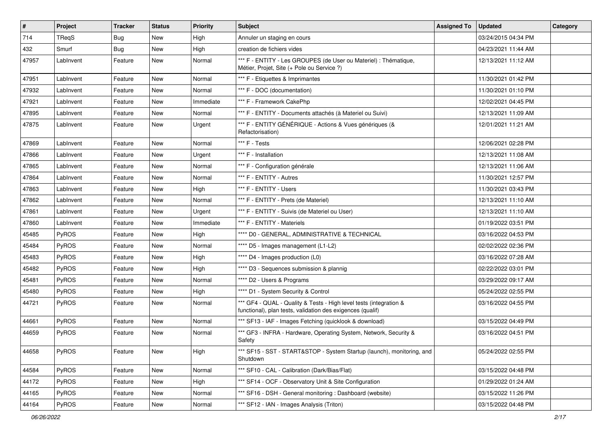| #     | Project      | <b>Tracker</b> | <b>Status</b> | <b>Priority</b> | Subject                                                                                                                          | <b>Assigned To</b> | <b>Updated</b>      | Category |
|-------|--------------|----------------|---------------|-----------------|----------------------------------------------------------------------------------------------------------------------------------|--------------------|---------------------|----------|
| 714   | <b>TRegS</b> | Bug            | New           | High            | Annuler un staging en cours                                                                                                      |                    | 03/24/2015 04:34 PM |          |
| 432   | Smurf        | Bug            | New           | High            | creation de fichiers vides                                                                                                       |                    | 04/23/2021 11:44 AM |          |
| 47957 | LabInvent    | Feature        | New           | Normal          | *** F - ENTITY - Les GROUPES (de User ou Materiel) : Thématique,<br>Métier, Projet, Site (+ Pole ou Service ?)                   |                    | 12/13/2021 11:12 AM |          |
| 47951 | LabInvent    | Feature        | <b>New</b>    | Normal          | *** F - Etiquettes & Imprimantes                                                                                                 |                    | 11/30/2021 01:42 PM |          |
| 47932 | LabInvent    | Feature        | New           | Normal          | *** F - DOC (documentation)                                                                                                      |                    | 11/30/2021 01:10 PM |          |
| 47921 | LabInvent    | Feature        | New           | Immediate       | *** F - Framework CakePhp                                                                                                        |                    | 12/02/2021 04:45 PM |          |
| 47895 | LabInvent    | Feature        | New           | Normal          | *** F - ENTITY - Documents attachés (à Materiel ou Suivi)                                                                        |                    | 12/13/2021 11:09 AM |          |
| 47875 | LabInvent    | Feature        | New           | Urgent          | *** F - ENTITY GÉNÉRIQUE - Actions & Vues génériques (&<br>Refactorisation)                                                      |                    | 12/01/2021 11:21 AM |          |
| 47869 | LabInvent    | Feature        | <b>New</b>    | Normal          | *** F - Tests                                                                                                                    |                    | 12/06/2021 02:28 PM |          |
| 47866 | LabInvent    | Feature        | New           | Urgent          | *** F - Installation                                                                                                             |                    | 12/13/2021 11:08 AM |          |
| 47865 | LabInvent    | Feature        | New           | Normal          | *** F - Configuration générale                                                                                                   |                    | 12/13/2021 11:06 AM |          |
| 47864 | LabInvent    | Feature        | New           | Normal          | *** F - ENTITY - Autres                                                                                                          |                    | 11/30/2021 12:57 PM |          |
| 47863 | LabInvent    | Feature        | New           | High            | *** F - ENTITY - Users                                                                                                           |                    | 11/30/2021 03:43 PM |          |
| 47862 | LabInvent    | Feature        | New           | Normal          | *** F - ENTITY - Prets (de Materiel)                                                                                             |                    | 12/13/2021 11:10 AM |          |
| 47861 | LabInvent    | Feature        | New           | Urgent          | *** F - ENTITY - Suivis (de Materiel ou User)                                                                                    |                    | 12/13/2021 11:10 AM |          |
| 47860 | LabInvent    | Feature        | New           | Immediate       | *** F - ENTITY - Materiels                                                                                                       |                    | 01/19/2022 03:51 PM |          |
| 45485 | PyROS        | Feature        | New           | High            | **** D0 - GENERAL, ADMINISTRATIVE & TECHNICAL                                                                                    |                    | 03/16/2022 04:53 PM |          |
| 45484 | PyROS        | Feature        | <b>New</b>    | Normal          | **** D5 - Images management (L1-L2)                                                                                              |                    | 02/02/2022 02:36 PM |          |
| 45483 | PyROS        | Feature        | New           | High            | **** D4 - Images production (L0)                                                                                                 |                    | 03/16/2022 07:28 AM |          |
| 45482 | PyROS        | Feature        | New           | High            | **** D3 - Sequences submission & plannig                                                                                         |                    | 02/22/2022 03:01 PM |          |
| 45481 | PyROS        | Feature        | New           | Normal          | **** D2 - Users & Programs                                                                                                       |                    | 03/29/2022 09:17 AM |          |
| 45480 | PyROS        | Feature        | New           | High            | **** D1 - System Security & Control                                                                                              |                    | 05/24/2022 02:55 PM |          |
| 44721 | PyROS        | Feature        | New           | Normal          | *** GF4 - QUAL - Quality & Tests - High level tests (integration &<br>functional), plan tests, validation des exigences (qualif) |                    | 03/16/2022 04:55 PM |          |
| 44661 | PyROS        | Feature        | New           | Normal          | *** SF13 - IAF - Images Fetching (quicklook & download)                                                                          |                    | 03/15/2022 04:49 PM |          |
| 44659 | PyROS        | Feature        | New           | Normal          | *** GF3 - INFRA - Hardware, Operating System, Network, Security &<br>Safety                                                      |                    | 03/16/2022 04:51 PM |          |
| 44658 | PyROS        | Feature        | New           | High            | *** SF15 - SST - START&STOP - System Startup (launch), monitoring, and<br>Shutdown                                               |                    | 05/24/2022 02:55 PM |          |
| 44584 | PyROS        | Feature        | New           | Normal          | *** SF10 - CAL - Calibration (Dark/Bias/Flat)                                                                                    |                    | 03/15/2022 04:48 PM |          |
| 44172 | PyROS        | Feature        | New           | High            | *** SF14 - OCF - Observatory Unit & Site Configuration                                                                           |                    | 01/29/2022 01:24 AM |          |
| 44165 | PyROS        | Feature        | New           | Normal          | *** SF16 - DSH - General monitoring: Dashboard (website)                                                                         |                    | 03/15/2022 11:26 PM |          |
| 44164 | PyROS        | Feature        | New           | Normal          | *** SF12 - IAN - Images Analysis (Triton)                                                                                        |                    | 03/15/2022 04:48 PM |          |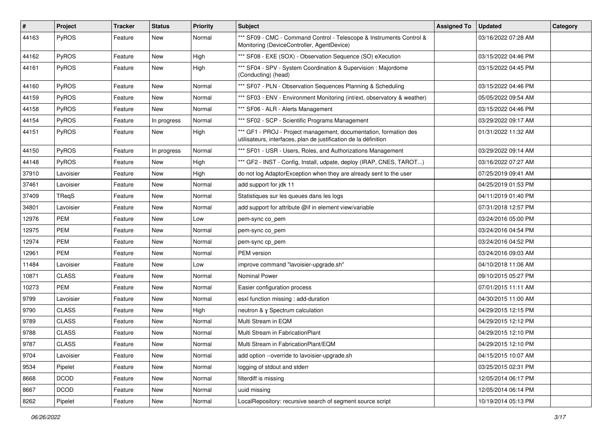| $\vert$ # | Project      | <b>Tracker</b> | <b>Status</b> | <b>Priority</b> | <b>Subject</b>                                                                                                                        | <b>Assigned To</b> | <b>Updated</b>      | Category |
|-----------|--------------|----------------|---------------|-----------------|---------------------------------------------------------------------------------------------------------------------------------------|--------------------|---------------------|----------|
| 44163     | PyROS        | Feature        | New           | Normal          | *** SF09 - CMC - Command Control - Telescope & Instruments Control &<br>Monitoring (DeviceController, AgentDevice)                    |                    | 03/16/2022 07:28 AM |          |
| 44162     | PyROS        | Feature        | New           | High            | *** SF08 - EXE (SOX) - Observation Sequence (SO) eXecution                                                                            |                    | 03/15/2022 04:46 PM |          |
| 44161     | PyROS        | Feature        | New           | High            | *** SF04 - SPV - System Coordination & Supervision : Majordome<br>(Conducting) (head)                                                 |                    | 03/15/2022 04:45 PM |          |
| 44160     | PyROS        | Feature        | New           | Normal          | *** SF07 - PLN - Observation Sequences Planning & Scheduling                                                                          |                    | 03/15/2022 04:46 PM |          |
| 44159     | <b>PyROS</b> | Feature        | New           | Normal          | *** SF03 - ENV - Environment Monitoring (int/ext, observatory & weather)                                                              |                    | 05/05/2022 09:54 AM |          |
| 44158     | PyROS        | Feature        | New           | Normal          | *** SF06 - ALR - Alerts Management                                                                                                    |                    | 03/15/2022 04:46 PM |          |
| 44154     | <b>PyROS</b> | Feature        | In progress   | Normal          | *** SF02 - SCP - Scientific Programs Management                                                                                       |                    | 03/29/2022 09:17 AM |          |
| 44151     | PyROS        | Feature        | New           | High            | *** GF1 - PROJ - Project management, documentation, formation des<br>utilisateurs, interfaces, plan de justification de la définition |                    | 01/31/2022 11:32 AM |          |
| 44150     | PyROS        | Feature        | In progress   | Normal          | *** SF01 - USR - Users, Roles, and Authorizations Management                                                                          |                    | 03/29/2022 09:14 AM |          |
| 44148     | <b>PyROS</b> | Feature        | New           | High            | *** GF2 - INST - Config, Install, udpate, deploy (IRAP, CNES, TAROT)                                                                  |                    | 03/16/2022 07:27 AM |          |
| 37910     | Lavoisier    | Feature        | New           | High            | do not log AdaptorException when they are already sent to the user                                                                    |                    | 07/25/2019 09:41 AM |          |
| 37461     | Lavoisier    | Feature        | New           | Normal          | add support for jdk 11                                                                                                                |                    | 04/25/2019 01:53 PM |          |
| 37409     | TReqS        | Feature        | New           | Normal          | Statistiques sur les queues dans les logs                                                                                             |                    | 04/11/2019 01:40 PM |          |
| 34801     | Lavoisier    | Feature        | New           | Normal          | add support for attribute @if in element view/variable                                                                                |                    | 07/31/2018 12:57 PM |          |
| 12976     | <b>PEM</b>   | Feature        | New           | Low             | pem-sync co_pem                                                                                                                       |                    | 03/24/2016 05:00 PM |          |
| 12975     | PEM          | Feature        | New           | Normal          | pem-sync co_pem                                                                                                                       |                    | 03/24/2016 04:54 PM |          |
| 12974     | PEM          | Feature        | New           | Normal          | pem-sync cp_pem                                                                                                                       |                    | 03/24/2016 04:52 PM |          |
| 12961     | <b>PEM</b>   | Feature        | New           | Normal          | PEM version                                                                                                                           |                    | 03/24/2016 09:03 AM |          |
| 11484     | Lavoisier    | Feature        | New           | Low             | improve command "lavoisier-upgrade.sh"                                                                                                |                    | 04/10/2018 11:06 AM |          |
| 10871     | <b>CLASS</b> | Feature        | New           | Normal          | Nominal Power                                                                                                                         |                    | 09/10/2015 05:27 PM |          |
| 10273     | PEM          | Feature        | New           | Normal          | Easier configuration process                                                                                                          |                    | 07/01/2015 11:11 AM |          |
| 9799      | Lavoisier    | Feature        | New           | Normal          | esxl function missing: add-duration                                                                                                   |                    | 04/30/2015 11:00 AM |          |
| 9790      | <b>CLASS</b> | Feature        | New           | High            | neutron & y Spectrum calculation                                                                                                      |                    | 04/29/2015 12:15 PM |          |
| 9789      | <b>CLASS</b> | Feature        | New           | Normal          | Multi Stream in EQM                                                                                                                   |                    | 04/29/2015 12:12 PM |          |
| 9788      | <b>CLASS</b> | Feature        | New           | Normal          | Multi Stream in FabricationPlant                                                                                                      |                    | 04/29/2015 12:10 PM |          |
| 9787      | <b>CLASS</b> | Feature        | New           | Normal          | Multi Stream in FabricationPlant/EQM                                                                                                  |                    | 04/29/2015 12:10 PM |          |
| 9704      | Lavoisier    | Feature        | New           | Normal          | add option --override to lavoisier-upgrade.sh                                                                                         |                    | 04/15/2015 10:07 AM |          |
| 9534      | Pipelet      | Feature        | New           | Normal          | logging of stdout and stderr                                                                                                          |                    | 03/25/2015 02:31 PM |          |
| 8668      | <b>DCOD</b>  | Feature        | New           | Normal          | filterdiff is missing                                                                                                                 |                    | 12/05/2014 06:17 PM |          |
| 8667      | <b>DCOD</b>  | Feature        | New           | Normal          | uuid missing                                                                                                                          |                    | 12/05/2014 06:14 PM |          |
| 8262      | Pipelet      | Feature        | New           | Normal          | LocalRepository: recursive search of segment source script                                                                            |                    | 10/19/2014 05:13 PM |          |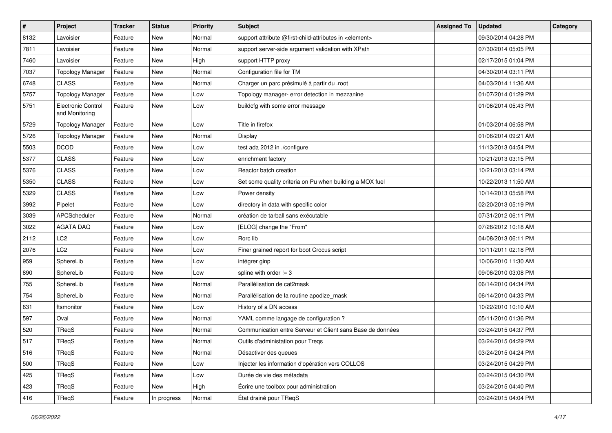| $\pmb{\#}$ | Project                                     | <b>Tracker</b> | <b>Status</b> | <b>Priority</b> | Subject                                                          | <b>Assigned To</b> | <b>Updated</b>      | Category |
|------------|---------------------------------------------|----------------|---------------|-----------------|------------------------------------------------------------------|--------------------|---------------------|----------|
| 8132       | Lavoisier                                   | Feature        | New           | Normal          | support attribute @first-child-attributes in <element></element> |                    | 09/30/2014 04:28 PM |          |
| 7811       | Lavoisier                                   | Feature        | New           | Normal          | support server-side argument validation with XPath               |                    | 07/30/2014 05:05 PM |          |
| 7460       | Lavoisier                                   | Feature        | New           | High            | support HTTP proxy                                               |                    | 02/17/2015 01:04 PM |          |
| 7037       | <b>Topology Manager</b>                     | Feature        | New           | Normal          | Configuration file for TM                                        |                    | 04/30/2014 03:11 PM |          |
| 6748       | <b>CLASS</b>                                | Feature        | New           | Normal          | Charger un parc présimulé à partir du .root                      |                    | 04/03/2014 11:36 AM |          |
| 5757       | <b>Topology Manager</b>                     | Feature        | New           | Low             | Topology manager- error detection in mezzanine                   |                    | 01/07/2014 01:29 PM |          |
| 5751       | <b>Electronic Control</b><br>and Monitoring | Feature        | New           | Low             | buildcfg with some error message                                 |                    | 01/06/2014 05:43 PM |          |
| 5729       | <b>Topology Manager</b>                     | Feature        | New           | Low             | Title in firefox                                                 |                    | 01/03/2014 06:58 PM |          |
| 5726       | <b>Topology Manager</b>                     | Feature        | New           | Normal          | Display                                                          |                    | 01/06/2014 09:21 AM |          |
| 5503       | <b>DCOD</b>                                 | Feature        | New           | Low             | test ada 2012 in ./configure                                     |                    | 11/13/2013 04:54 PM |          |
| 5377       | <b>CLASS</b>                                | Feature        | New           | Low             | enrichment factory                                               |                    | 10/21/2013 03:15 PM |          |
| 5376       | <b>CLASS</b>                                | Feature        | New           | Low             | Reactor batch creation                                           |                    | 10/21/2013 03:14 PM |          |
| 5350       | <b>CLASS</b>                                | Feature        | New           | Low             | Set some quality criteria on Pu when building a MOX fuel         |                    | 10/22/2013 11:50 AM |          |
| 5329       | <b>CLASS</b>                                | Feature        | New           | Low             | Power density                                                    |                    | 10/14/2013 05:58 PM |          |
| 3992       | Pipelet                                     | Feature        | New           | Low             | directory in data with specific color                            |                    | 02/20/2013 05:19 PM |          |
| 3039       | APCScheduler                                | Feature        | New           | Normal          | création de tarball sans exécutable                              |                    | 07/31/2012 06:11 PM |          |
| 3022       | <b>AGATA DAQ</b>                            | Feature        | New           | Low             | [ELOG] change the "From"                                         |                    | 07/26/2012 10:18 AM |          |
| 2112       | LC <sub>2</sub>                             | Feature        | New           | Low             | Rorc lib                                                         |                    | 04/08/2013 06:11 PM |          |
| 2076       | LC <sub>2</sub>                             | Feature        | New           | Low             | Finer grained report for boot Crocus script                      |                    | 10/11/2011 02:18 PM |          |
| 959        | SphereLib                                   | Feature        | New           | Low             | intégrer ginp                                                    |                    | 10/06/2010 11:30 AM |          |
| 890        | SphereLib                                   | Feature        | New           | Low             | spline with order $=$ 3                                          |                    | 09/06/2010 03:08 PM |          |
| 755        | SphereLib                                   | Feature        | New           | Normal          | Parallélisation de cat2mask                                      |                    | 06/14/2010 04:34 PM |          |
| 754        | SphereLib                                   | Feature        | New           | Normal          | Parallélisation de la routine apodize_mask                       |                    | 06/14/2010 04:33 PM |          |
| 631        | ftsmonitor                                  | Feature        | New           | Low             | History of a DN access                                           |                    | 10/22/2010 10:10 AM |          |
| 597        | Oval                                        | Feature        | New           | Normal          | YAML comme langage de configuration?                             |                    | 05/11/2010 01:36 PM |          |
| 520        | TReqS                                       | Feature        | New           | Normal          | Communication entre Serveur et Client sans Base de données       |                    | 03/24/2015 04:37 PM |          |
| 517        | TReqS                                       | Feature        | New           | Normal          | Outils d'administation pour Treqs                                |                    | 03/24/2015 04:29 PM |          |
| 516        | TReqS                                       | Feature        | New           | Normal          | Désactiver des queues                                            |                    | 03/24/2015 04:24 PM |          |
| 500        | TReqS                                       | Feature        | New           | Low             | Injecter les information d'opération vers COLLOS                 |                    | 03/24/2015 04:29 PM |          |
| 425        | TReqS                                       | Feature        | New           | Low             | Durée de vie des métadata                                        |                    | 03/24/2015 04:30 PM |          |
| 423        | TReqS                                       | Feature        | New           | High            | Écrire une toolbox pour administration                           |                    | 03/24/2015 04:40 PM |          |
| 416        | TReqS                                       | Feature        | In progress   | Normal          | État drainé pour TReqS                                           |                    | 03/24/2015 04:04 PM |          |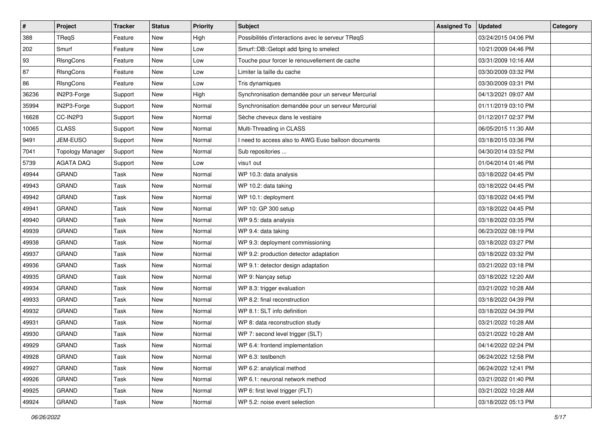| $\pmb{\#}$ | Project                 | <b>Tracker</b> | <b>Status</b> | <b>Priority</b> | <b>Subject</b>                                     | <b>Assigned To</b> | <b>Updated</b>      | Category |
|------------|-------------------------|----------------|---------------|-----------------|----------------------------------------------------|--------------------|---------------------|----------|
| 388        | TReqS                   | Feature        | New           | High            | Possibilités d'interactions avec le serveur TReqS  |                    | 03/24/2015 04:06 PM |          |
| 202        | Smurf                   | Feature        | New           | Low             | Smurf::DB::Getopt add fping to smelect             |                    | 10/21/2009 04:46 PM |          |
| 93         | RIsngCons               | Feature        | New           | Low             | Touche pour forcer le renouvellement de cache      |                    | 03/31/2009 10:16 AM |          |
| 87         | RIsngCons               | Feature        | New           | Low             | Limiter la taille du cache                         |                    | 03/30/2009 03:32 PM |          |
| 86         | RIsngCons               | Feature        | New           | Low             | Tris dynamiques                                    |                    | 03/30/2009 03:31 PM |          |
| 36236      | IN2P3-Forge             | Support        | New           | High            | Synchronisation demandée pour un serveur Mercurial |                    | 04/13/2021 09:07 AM |          |
| 35994      | IN2P3-Forge             | Support        | New           | Normal          | Synchronisation demandée pour un serveur Mercurial |                    | 01/11/2019 03:10 PM |          |
| 16628      | CC-IN2P3                | Support        | New           | Normal          | Sèche cheveux dans le vestiaire                    |                    | 01/12/2017 02:37 PM |          |
| 10065      | <b>CLASS</b>            | Support        | New           | Normal          | Multi-Threading in CLASS                           |                    | 06/05/2015 11:30 AM |          |
| 9491       | JEM-EUSO                | Support        | New           | Normal          | need to access also to AWG Euso balloon documents  |                    | 03/18/2015 03:36 PM |          |
| 7041       | <b>Topology Manager</b> | Support        | New           | Normal          | Sub repositories                                   |                    | 04/30/2014 03:52 PM |          |
| 5739       | <b>AGATA DAQ</b>        | Support        | New           | Low             | visu1 out                                          |                    | 01/04/2014 01:46 PM |          |
| 49944      | <b>GRAND</b>            | Task           | New           | Normal          | WP 10.3: data analysis                             |                    | 03/18/2022 04:45 PM |          |
| 49943      | <b>GRAND</b>            | Task           | New           | Normal          | WP 10.2: data taking                               |                    | 03/18/2022 04:45 PM |          |
| 49942      | <b>GRAND</b>            | Task           | New           | Normal          | WP 10.1: deployment                                |                    | 03/18/2022 04:45 PM |          |
| 49941      | <b>GRAND</b>            | Task           | New           | Normal          | WP 10: GP 300 setup                                |                    | 03/18/2022 04:45 PM |          |
| 49940      | <b>GRAND</b>            | Task           | New           | Normal          | WP 9.5: data analysis                              |                    | 03/18/2022 03:35 PM |          |
| 49939      | <b>GRAND</b>            | Task           | New           | Normal          | WP 9.4: data taking                                |                    | 06/23/2022 08:19 PM |          |
| 49938      | <b>GRAND</b>            | Task           | New           | Normal          | WP 9.3: deployment commissioning                   |                    | 03/18/2022 03:27 PM |          |
| 49937      | <b>GRAND</b>            | Task           | New           | Normal          | WP 9.2: production detector adaptation             |                    | 03/18/2022 03:32 PM |          |
| 49936      | <b>GRAND</b>            | Task           | New           | Normal          | WP 9.1: detector design adaptation                 |                    | 03/21/2022 03:18 PM |          |
| 49935      | <b>GRAND</b>            | Task           | New           | Normal          | WP 9: Nançay setup                                 |                    | 03/18/2022 12:20 AM |          |
| 49934      | <b>GRAND</b>            | Task           | <b>New</b>    | Normal          | WP 8.3: trigger evaluation                         |                    | 03/21/2022 10:28 AM |          |
| 49933      | <b>GRAND</b>            | Task           | New           | Normal          | WP 8.2: final reconstruction                       |                    | 03/18/2022 04:39 PM |          |
| 49932      | <b>GRAND</b>            | Task           | New           | Normal          | WP 8.1: SLT info definition                        |                    | 03/18/2022 04:39 PM |          |
| 49931      | <b>GRAND</b>            | Task           | New           | Normal          | WP 8: data reconstruction study                    |                    | 03/21/2022 10:28 AM |          |
| 49930      | <b>GRAND</b>            | Task           | New           | Normal          | WP 7: second level trigger (SLT)                   |                    | 03/21/2022 10:28 AM |          |
| 49929      | GRAND                   | Task           | New           | Normal          | WP 6.4: frontend implementation                    |                    | 04/14/2022 02:24 PM |          |
| 49928      | GRAND                   | Task           | New           | Normal          | WP 6.3: testbench                                  |                    | 06/24/2022 12:58 PM |          |
| 49927      | GRAND                   | Task           | New           | Normal          | WP 6.2: analytical method                          |                    | 06/24/2022 12:41 PM |          |
| 49926      | <b>GRAND</b>            | Task           | New           | Normal          | WP 6.1: neuronal network method                    |                    | 03/21/2022 01:40 PM |          |
| 49925      | GRAND                   | Task           | New           | Normal          | WP 6: first level trigger (FLT)                    |                    | 03/21/2022 10:28 AM |          |
| 49924      | GRAND                   | Task           | New           | Normal          | WP 5.2: noise event selection                      |                    | 03/18/2022 05:13 PM |          |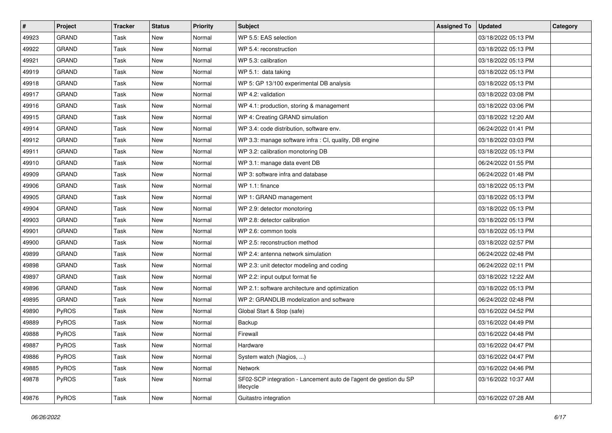| #     | Project      | <b>Tracker</b> | <b>Status</b> | <b>Priority</b> | <b>Subject</b>                                                                 | <b>Assigned To</b> | <b>Updated</b>      | Category |
|-------|--------------|----------------|---------------|-----------------|--------------------------------------------------------------------------------|--------------------|---------------------|----------|
| 49923 | <b>GRAND</b> | Task           | New           | Normal          | WP 5.5: EAS selection                                                          |                    | 03/18/2022 05:13 PM |          |
| 49922 | <b>GRAND</b> | Task           | New           | Normal          | WP 5.4: reconstruction                                                         |                    | 03/18/2022 05:13 PM |          |
| 49921 | <b>GRAND</b> | Task           | New           | Normal          | WP 5.3: calibration                                                            |                    | 03/18/2022 05:13 PM |          |
| 49919 | GRAND        | Task           | <b>New</b>    | Normal          | WP 5.1: data taking                                                            |                    | 03/18/2022 05:13 PM |          |
| 49918 | <b>GRAND</b> | Task           | New           | Normal          | WP 5: GP 13/100 experimental DB analysis                                       |                    | 03/18/2022 05:13 PM |          |
| 49917 | <b>GRAND</b> | Task           | New           | Normal          | WP 4.2: validation                                                             |                    | 03/18/2022 03:08 PM |          |
| 49916 | <b>GRAND</b> | Task           | New           | Normal          | WP 4.1: production, storing & management                                       |                    | 03/18/2022 03:06 PM |          |
| 49915 | <b>GRAND</b> | Task           | New           | Normal          | WP 4: Creating GRAND simulation                                                |                    | 03/18/2022 12:20 AM |          |
| 49914 | <b>GRAND</b> | Task           | New           | Normal          | WP 3.4: code distribution, software env.                                       |                    | 06/24/2022 01:41 PM |          |
| 49912 | <b>GRAND</b> | Task           | New           | Normal          | WP 3.3: manage software infra : CI, quality, DB engine                         |                    | 03/18/2022 03:03 PM |          |
| 49911 | <b>GRAND</b> | Task           | New           | Normal          | WP 3.2: calibration monotoring DB                                              |                    | 03/18/2022 05:13 PM |          |
| 49910 | <b>GRAND</b> | Task           | <b>New</b>    | Normal          | WP 3.1: manage data event DB                                                   |                    | 06/24/2022 01:55 PM |          |
| 49909 | <b>GRAND</b> | Task           | New           | Normal          | WP 3: software infra and database                                              |                    | 06/24/2022 01:48 PM |          |
| 49906 | <b>GRAND</b> | Task           | New           | Normal          | WP 1.1: finance                                                                |                    | 03/18/2022 05:13 PM |          |
| 49905 | <b>GRAND</b> | Task           | New           | Normal          | WP 1: GRAND management                                                         |                    | 03/18/2022 05:13 PM |          |
| 49904 | <b>GRAND</b> | Task           | New           | Normal          | WP 2.9: detector monotoring                                                    |                    | 03/18/2022 05:13 PM |          |
| 49903 | <b>GRAND</b> | Task           | <b>New</b>    | Normal          | WP 2.8: detector calibration                                                   |                    | 03/18/2022 05:13 PM |          |
| 49901 | <b>GRAND</b> | Task           | New           | Normal          | WP 2.6: common tools                                                           |                    | 03/18/2022 05:13 PM |          |
| 49900 | <b>GRAND</b> | Task           | New           | Normal          | WP 2.5: reconstruction method                                                  |                    | 03/18/2022 02:57 PM |          |
| 49899 | <b>GRAND</b> | Task           | New           | Normal          | WP 2.4: antenna network simulation                                             |                    | 06/24/2022 02:48 PM |          |
| 49898 | <b>GRAND</b> | Task           | New           | Normal          | WP 2.3: unit detector modeling and coding                                      |                    | 06/24/2022 02:11 PM |          |
| 49897 | <b>GRAND</b> | Task           | New           | Normal          | WP 2.2: input output format fie                                                |                    | 03/18/2022 12:22 AM |          |
| 49896 | <b>GRAND</b> | Task           | New           | Normal          | WP 2.1: software architecture and optimization                                 |                    | 03/18/2022 05:13 PM |          |
| 49895 | <b>GRAND</b> | Task           | New           | Normal          | WP 2: GRANDLIB modelization and software                                       |                    | 06/24/2022 02:48 PM |          |
| 49890 | PyROS        | Task           | New           | Normal          | Global Start & Stop (safe)                                                     |                    | 03/16/2022 04:52 PM |          |
| 49889 | PyROS        | Task           | New           | Normal          | Backup                                                                         |                    | 03/16/2022 04:49 PM |          |
| 49888 | PyROS        | Task           | New           | Normal          | Firewall                                                                       |                    | 03/16/2022 04:48 PM |          |
| 49887 | PyROS        | Task           | New           | Normal          | Hardware                                                                       |                    | 03/16/2022 04:47 PM |          |
| 49886 | PyROS        | Task           | New           | Normal          | System watch (Nagios, )                                                        |                    | 03/16/2022 04:47 PM |          |
| 49885 | PyROS        | Task           | New           | Normal          | Network                                                                        |                    | 03/16/2022 04:46 PM |          |
| 49878 | PyROS        | Task           | New           | Normal          | SF02-SCP integration - Lancement auto de l'agent de gestion du SP<br>lifecycle |                    | 03/16/2022 10:37 AM |          |
| 49876 | PyROS        | Task           | New           | Normal          | Guitastro integration                                                          |                    | 03/16/2022 07:28 AM |          |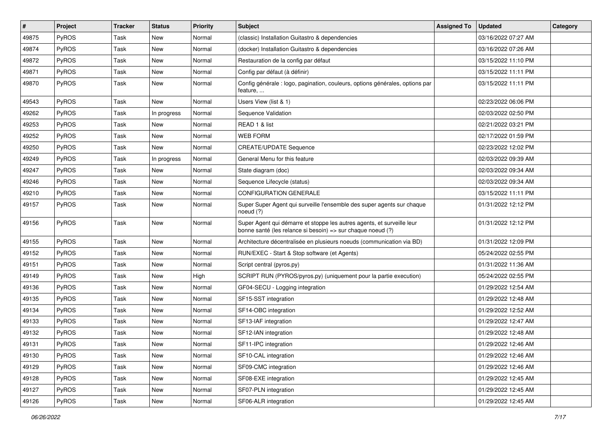| #     | Project      | <b>Tracker</b> | <b>Status</b> | <b>Priority</b> | Subject                                                                                                                               | <b>Assigned To</b> | <b>Updated</b>      | Category |
|-------|--------------|----------------|---------------|-----------------|---------------------------------------------------------------------------------------------------------------------------------------|--------------------|---------------------|----------|
| 49875 | PyROS        | Task           | New           | Normal          | (classic) Installation Guitastro & dependencies                                                                                       |                    | 03/16/2022 07:27 AM |          |
| 49874 | PyROS        | Task           | New           | Normal          | (docker) Installation Guitastro & dependencies                                                                                        |                    | 03/16/2022 07:26 AM |          |
| 49872 | PyROS        | Task           | New           | Normal          | Restauration de la config par défaut                                                                                                  |                    | 03/15/2022 11:10 PM |          |
| 49871 | PyROS        | Task           | New           | Normal          | Config par défaut (à définir)                                                                                                         |                    | 03/15/2022 11:11 PM |          |
| 49870 | PyROS        | Task           | New           | Normal          | Config générale : logo, pagination, couleurs, options générales, options par<br>feature,                                              |                    | 03/15/2022 11:11 PM |          |
| 49543 | PyROS        | Task           | New           | Normal          | Users View (list & 1)                                                                                                                 |                    | 02/23/2022 06:06 PM |          |
| 49262 | <b>PyROS</b> | Task           | In progress   | Normal          | Sequence Validation                                                                                                                   |                    | 02/03/2022 02:50 PM |          |
| 49253 | PyROS        | Task           | New           | Normal          | READ 1 & list                                                                                                                         |                    | 02/21/2022 03:21 PM |          |
| 49252 | PyROS        | Task           | New           | Normal          | <b>WEB FORM</b>                                                                                                                       |                    | 02/17/2022 01:59 PM |          |
| 49250 | PyROS        | Task           | New           | Normal          | <b>CREATE/UPDATE Sequence</b>                                                                                                         |                    | 02/23/2022 12:02 PM |          |
| 49249 | PyROS        | Task           | In progress   | Normal          | General Menu for this feature                                                                                                         |                    | 02/03/2022 09:39 AM |          |
| 49247 | PyROS        | Task           | New           | Normal          | State diagram (doc)                                                                                                                   |                    | 02/03/2022 09:34 AM |          |
| 49246 | PyROS        | Task           | New           | Normal          | Sequence Lifecycle (status)                                                                                                           |                    | 02/03/2022 09:34 AM |          |
| 49210 | PyROS        | Task           | New           | Normal          | CONFIGURATION GENERALE                                                                                                                |                    | 03/15/2022 11:11 PM |          |
| 49157 | <b>PyROS</b> | Task           | New           | Normal          | Super Super Agent qui surveille l'ensemble des super agents sur chaque<br>noeud (?)                                                   |                    | 01/31/2022 12:12 PM |          |
| 49156 | PyROS        | Task           | New           | Normal          | Super Agent qui démarre et stoppe les autres agents, et surveille leur<br>bonne santé (les relance si besoin) => sur chaque noeud (?) |                    | 01/31/2022 12:12 PM |          |
| 49155 | PyROS        | Task           | New           | Normal          | Architecture décentralisée en plusieurs noeuds (communication via BD)                                                                 |                    | 01/31/2022 12:09 PM |          |
| 49152 | PyROS        | Task           | New           | Normal          | RUN/EXEC - Start & Stop software (et Agents)                                                                                          |                    | 05/24/2022 02:55 PM |          |
| 49151 | PyROS        | Task           | New           | Normal          | Script central (pyros.py)                                                                                                             |                    | 01/31/2022 11:36 AM |          |
| 49149 | PyROS        | Task           | New           | High            | SCRIPT RUN (PYROS/pyros.py) (uniquement pour la partie execution)                                                                     |                    | 05/24/2022 02:55 PM |          |
| 49136 | <b>PyROS</b> | Task           | New           | Normal          | GF04-SECU - Logging integration                                                                                                       |                    | 01/29/2022 12:54 AM |          |
| 49135 | PyROS        | Task           | New           | Normal          | SF15-SST integration                                                                                                                  |                    | 01/29/2022 12:48 AM |          |
| 49134 | PyROS        | Task           | New           | Normal          | SF14-OBC integration                                                                                                                  |                    | 01/29/2022 12:52 AM |          |
| 49133 | PyROS        | Task           | New           | Normal          | SF13-IAF integration                                                                                                                  |                    | 01/29/2022 12:47 AM |          |
| 49132 | PyROS        | Task           | New           | Normal          | SF12-IAN integration                                                                                                                  |                    | 01/29/2022 12:48 AM |          |
| 49131 | PyROS        | Task           | New           | Normal          | SF11-IPC integration                                                                                                                  |                    | 01/29/2022 12:46 AM |          |
| 49130 | PyROS        | Task           | New           | Normal          | SF10-CAL integration                                                                                                                  |                    | 01/29/2022 12:46 AM |          |
| 49129 | PyROS        | Task           | New           | Normal          | SF09-CMC integration                                                                                                                  |                    | 01/29/2022 12:46 AM |          |
| 49128 | PyROS        | Task           | New           | Normal          | SF08-EXE integration                                                                                                                  |                    | 01/29/2022 12:45 AM |          |
| 49127 | PyROS        | Task           | New           | Normal          | SF07-PLN integration                                                                                                                  |                    | 01/29/2022 12:45 AM |          |
| 49126 | PyROS        | Task           | New           | Normal          | SF06-ALR integration                                                                                                                  |                    | 01/29/2022 12:45 AM |          |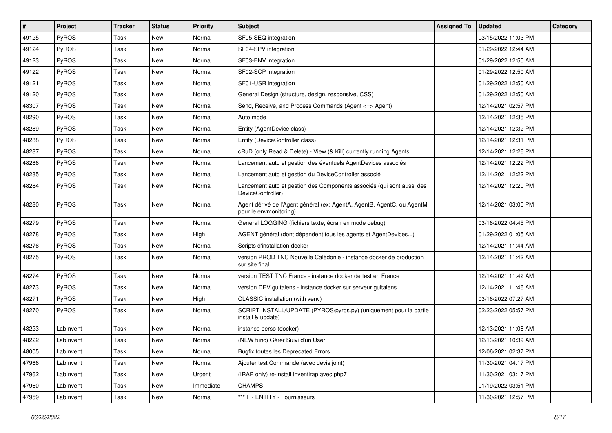| #     | Project      | <b>Tracker</b> | <b>Status</b> | Priority  | Subject                                                                                          | <b>Assigned To</b> | <b>Updated</b>      | Category |
|-------|--------------|----------------|---------------|-----------|--------------------------------------------------------------------------------------------------|--------------------|---------------------|----------|
| 49125 | PyROS        | <b>Task</b>    | New           | Normal    | SF05-SEQ integration                                                                             |                    | 03/15/2022 11:03 PM |          |
| 49124 | PyROS        | Task           | New           | Normal    | SF04-SPV integration                                                                             |                    | 01/29/2022 12:44 AM |          |
| 49123 | PyROS        | Task           | New           | Normal    | SF03-ENV integration                                                                             |                    | 01/29/2022 12:50 AM |          |
| 49122 | PyROS        | Task           | New           | Normal    | SF02-SCP integration                                                                             |                    | 01/29/2022 12:50 AM |          |
| 49121 | PyROS        | Task           | New           | Normal    | SF01-USR integration                                                                             |                    | 01/29/2022 12:50 AM |          |
| 49120 | PyROS        | Task           | New           | Normal    | General Design (structure, design, responsive, CSS)                                              |                    | 01/29/2022 12:50 AM |          |
| 48307 | PyROS        | Task           | New           | Normal    | Send, Receive, and Process Commands (Agent <= > Agent)                                           |                    | 12/14/2021 02:57 PM |          |
| 48290 | PyROS        | Task           | New           | Normal    | Auto mode                                                                                        |                    | 12/14/2021 12:35 PM |          |
| 48289 | PyROS        | Task           | New           | Normal    | Entity (AgentDevice class)                                                                       |                    | 12/14/2021 12:32 PM |          |
| 48288 | PyROS        | Task           | New           | Normal    | Entity (DeviceController class)                                                                  |                    | 12/14/2021 12:31 PM |          |
| 48287 | PyROS        | Task           | New           | Normal    | cRuD (only Read & Delete) - View (& Kill) currently running Agents                               |                    | 12/14/2021 12:26 PM |          |
| 48286 | PyROS        | Task           | New           | Normal    | Lancement auto et gestion des éventuels AgentDevices associés                                    |                    | 12/14/2021 12:22 PM |          |
| 48285 | PyROS        | Task           | New           | Normal    | Lancement auto et gestion du DeviceController associé                                            |                    | 12/14/2021 12:22 PM |          |
| 48284 | PyROS        | Task           | New           | Normal    | Lancement auto et gestion des Components associés (qui sont aussi des<br>DeviceController)       |                    | 12/14/2021 12:20 PM |          |
| 48280 | PyROS        | Task           | New           | Normal    | Agent dérivé de l'Agent général (ex: AgentA, AgentB, AgentC, ou AgentM<br>pour le envmonitoring) |                    | 12/14/2021 03:00 PM |          |
| 48279 | PyROS        | Task           | New           | Normal    | General LOGGING (fichiers texte, écran en mode debug)                                            |                    | 03/16/2022 04:45 PM |          |
| 48278 | PyROS        | Task           | New           | High      | AGENT général (dont dépendent tous les agents et AgentDevices)                                   |                    | 01/29/2022 01:05 AM |          |
| 48276 | PyROS        | Task           | <b>New</b>    | Normal    | Scripts d'installation docker                                                                    |                    | 12/14/2021 11:44 AM |          |
| 48275 | <b>PyROS</b> | Task           | New           | Normal    | version PROD TNC Nouvelle Calédonie - instance docker de production<br>sur site final            |                    | 12/14/2021 11:42 AM |          |
| 48274 | PyROS        | Task           | New           | Normal    | version TEST TNC France - instance docker de test en France                                      |                    | 12/14/2021 11:42 AM |          |
| 48273 | PyROS        | Task           | New           | Normal    | version DEV guitalens - instance docker sur serveur guitalens                                    |                    | 12/14/2021 11:46 AM |          |
| 48271 | PyROS        | Task           | New           | High      | CLASSIC installation (with venv)                                                                 |                    | 03/16/2022 07:27 AM |          |
| 48270 | <b>PyROS</b> | Task           | New           | Normal    | SCRIPT INSTALL/UPDATE (PYROS/pyros.py) (uniquement pour la partie<br>install & update)           |                    | 02/23/2022 05:57 PM |          |
| 48223 | LabInvent    | Task           | New           | Normal    | instance perso (docker)                                                                          |                    | 12/13/2021 11:08 AM |          |
| 48222 | LabInvent    | Task           | New           | Normal    | (NEW func) Gérer Suivi d'un User                                                                 |                    | 12/13/2021 10:39 AM |          |
| 48005 | LabInvent    | Task           | New           | Normal    | <b>Bugfix toutes les Deprecated Errors</b>                                                       |                    | 12/06/2021 02:37 PM |          |
| 47966 | LabInvent    | Task           | New           | Normal    | Ajouter test Commande (avec devis joint)                                                         |                    | 11/30/2021 04:17 PM |          |
| 47962 | LabInvent    | Task           | New           | Urgent    | (IRAP only) re-install inventirap avec php7                                                      |                    | 11/30/2021 03:17 PM |          |
| 47960 | LabInvent    | Task           | New           | Immediate | <b>CHAMPS</b>                                                                                    |                    | 01/19/2022 03:51 PM |          |
| 47959 | LabInvent    | Task           | New           | Normal    | *** F - ENTITY - Fournisseurs                                                                    |                    | 11/30/2021 12:57 PM |          |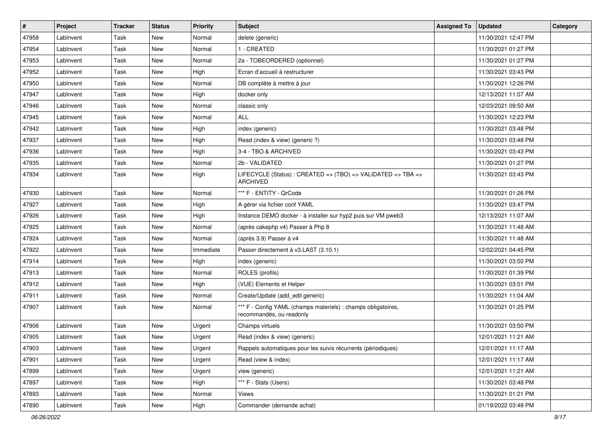| #     | Project   | <b>Tracker</b> | <b>Status</b> | <b>Priority</b> | <b>Subject</b>                                                                            | <b>Assigned To</b> | <b>Updated</b>      | Category |
|-------|-----------|----------------|---------------|-----------------|-------------------------------------------------------------------------------------------|--------------------|---------------------|----------|
| 47958 | LabInvent | Task           | New           | Normal          | delete (generic)                                                                          |                    | 11/30/2021 12:47 PM |          |
| 47954 | LabInvent | Task           | <b>New</b>    | Normal          | 1 - CREATED                                                                               |                    | 11/30/2021 01:27 PM |          |
| 47953 | LabInvent | Task           | New           | Normal          | 2a - TOBEORDERED (optionnel)                                                              |                    | 11/30/2021 01:27 PM |          |
| 47952 | LabInvent | Task           | <b>New</b>    | High            | Ecran d'accueil à restructurer                                                            |                    | 11/30/2021 03:43 PM |          |
| 47950 | LabInvent | Task           | <b>New</b>    | Normal          | DB complète à mettre à jour                                                               |                    | 11/30/2021 12:26 PM |          |
| 47947 | LabInvent | Task           | New           | High            | docker only                                                                               |                    | 12/13/2021 11:07 AM |          |
| 47946 | LabInvent | Task           | New           | Normal          | classic only                                                                              |                    | 12/03/2021 09:50 AM |          |
| 47945 | LabInvent | Task           | <b>New</b>    | Normal          | <b>ALL</b>                                                                                |                    | 11/30/2021 12:23 PM |          |
| 47942 | LabInvent | Task           | <b>New</b>    | High            | index (generic)                                                                           |                    | 11/30/2021 03:48 PM |          |
| 47937 | LabInvent | Task           | <b>New</b>    | High            | Read (index & view) (generic ?)                                                           |                    | 11/30/2021 03:48 PM |          |
| 47936 | LabInvent | Task           | New           | High            | 3-4 - TBO & ARCHIVED                                                                      |                    | 11/30/2021 03:43 PM |          |
| 47935 | LabInvent | Task           | <b>New</b>    | Normal          | 2b - VALIDATED                                                                            |                    | 11/30/2021 01:27 PM |          |
| 47934 | LabInvent | Task           | <b>New</b>    | High            | LIFECYCLE (Status) : CREATED => (TBO) => VALIDATED => TBA =><br><b>ARCHIVED</b>           |                    | 11/30/2021 03:43 PM |          |
| 47930 | LabInvent | Task           | <b>New</b>    | Normal          | *** F - ENTITY - QrCode                                                                   |                    | 11/30/2021 01:26 PM |          |
| 47927 | LabInvent | Task           | <b>New</b>    | High            | A gérer via fichier conf YAML                                                             |                    | 11/30/2021 03:47 PM |          |
| 47926 | LabInvent | Task           | New           | High            | Instance DEMO docker - à installer sur hyp2 puis sur VM pweb3                             |                    | 12/13/2021 11:07 AM |          |
| 47925 | LabInvent | Task           | New           | Normal          | (après cakephp v4) Passer à Php 8                                                         |                    | 11/30/2021 11:48 AM |          |
| 47924 | LabInvent | Task           | New           | Normal          | (après 3.9) Passer à v4                                                                   |                    | 11/30/2021 11:48 AM |          |
| 47922 | LabInvent | Task           | <b>New</b>    | Immediate       | Passer directement à v3.LAST (3.10.1)                                                     |                    | 12/02/2021 04:45 PM |          |
| 47914 | LabInvent | Task           | <b>New</b>    | High            | index (generic)                                                                           |                    | 11/30/2021 03:50 PM |          |
| 47913 | LabInvent | Task           | <b>New</b>    | Normal          | ROLES (profils)                                                                           |                    | 11/30/2021 01:39 PM |          |
| 47912 | LabInvent | Task           | New           | High            | (VUE) Elements et Helper                                                                  |                    | 11/30/2021 03:51 PM |          |
| 47911 | LabInvent | Task           | New           | Normal          | Create/Update (add edit generic)                                                          |                    | 11/30/2021 11:04 AM |          |
| 47907 | LabInvent | Task           | New           | Normal          | *** F - Config YAML (champs materiels) : champs obligatoires,<br>recommandés, ou readonly |                    | 11/30/2021 01:25 PM |          |
| 47906 | LabInvent | Task           | <b>New</b>    | Urgent          | Champs virtuels                                                                           |                    | 11/30/2021 03:50 PM |          |
| 47905 | LabInvent | Task           | <b>New</b>    | Urgent          | Read (index & view) (generic)                                                             |                    | 12/01/2021 11:21 AM |          |
| 47903 | LabInvent | Task           | New           | Urgent          | Rappels automatiques pour les suivis récurrents (périodiques)                             |                    | 12/01/2021 11:17 AM |          |
| 47901 | LabInvent | Task           | <b>New</b>    | Urgent          | Read (view & index)                                                                       |                    | 12/01/2021 11:17 AM |          |
| 47899 | LabInvent | Task           | <b>New</b>    | Urgent          | view (generic)                                                                            |                    | 12/01/2021 11:21 AM |          |
| 47897 | LabInvent | Task           | New           | High            | *** F - Stats (Users)                                                                     |                    | 11/30/2021 03:48 PM |          |
| 47893 | LabInvent | Task           | New           | Normal          | Views                                                                                     |                    | 11/30/2021 01:21 PM |          |
| 47890 | LabInvent | Task           | New           | High            | Commander (demande achat)                                                                 |                    | 01/19/2022 03:48 PM |          |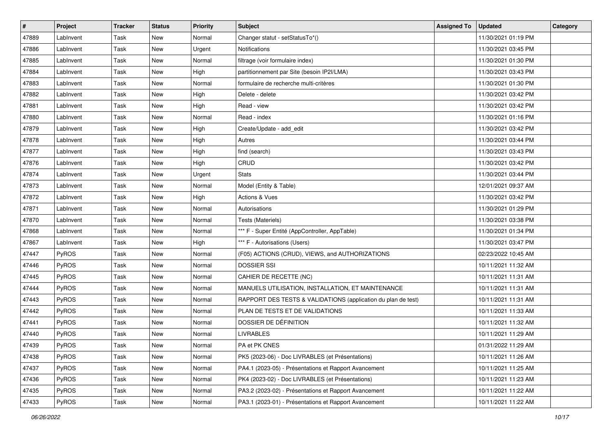| #     | Project   | <b>Tracker</b> | <b>Status</b> | <b>Priority</b> | Subject                                                       | <b>Assigned To</b> | <b>Updated</b>      | Category |
|-------|-----------|----------------|---------------|-----------------|---------------------------------------------------------------|--------------------|---------------------|----------|
| 47889 | LabInvent | Task           | New           | Normal          | Changer statut - setStatusTo*()                               |                    | 11/30/2021 01:19 PM |          |
| 47886 | LabInvent | Task           | New           | Urgent          | <b>Notifications</b>                                          |                    | 11/30/2021 03:45 PM |          |
| 47885 | LabInvent | Task           | New           | Normal          | filtrage (voir formulaire index)                              |                    | 11/30/2021 01:30 PM |          |
| 47884 | LabInvent | Task           | New           | High            | partitionnement par Site (besoin IP2I/LMA)                    |                    | 11/30/2021 03:43 PM |          |
| 47883 | LabInvent | Task           | New           | Normal          | formulaire de recherche multi-critères                        |                    | 11/30/2021 01:30 PM |          |
| 47882 | LabInvent | Task           | New           | High            | Delete - delete                                               |                    | 11/30/2021 03:42 PM |          |
| 47881 | LabInvent | Task           | <b>New</b>    | High            | Read - view                                                   |                    | 11/30/2021 03:42 PM |          |
| 47880 | LabInvent | Task           | New           | Normal          | Read - index                                                  |                    | 11/30/2021 01:16 PM |          |
| 47879 | LabInvent | Task           | New           | High            | Create/Update - add_edit                                      |                    | 11/30/2021 03:42 PM |          |
| 47878 | LabInvent | Task           | New           | High            | Autres                                                        |                    | 11/30/2021 03:44 PM |          |
| 47877 | LabInvent | Task           | New           | High            | find (search)                                                 |                    | 11/30/2021 03:43 PM |          |
| 47876 | LabInvent | Task           | New           | High            | CRUD                                                          |                    | 11/30/2021 03:42 PM |          |
| 47874 | LabInvent | Task           | New           | Urgent          | <b>Stats</b>                                                  |                    | 11/30/2021 03:44 PM |          |
| 47873 | LabInvent | Task           | New           | Normal          | Model (Entity & Table)                                        |                    | 12/01/2021 09:37 AM |          |
| 47872 | LabInvent | Task           | New           | High            | <b>Actions &amp; Vues</b>                                     |                    | 11/30/2021 03:42 PM |          |
| 47871 | LabInvent | Task           | New           | Normal          | Autorisations                                                 |                    | 11/30/2021 01:29 PM |          |
| 47870 | LabInvent | Task           | New           | Normal          | Tests (Materiels)                                             |                    | 11/30/2021 03:38 PM |          |
| 47868 | LabInvent | Task           | New           | Normal          | *** F - Super Entité (AppController, AppTable)                |                    | 11/30/2021 01:34 PM |          |
| 47867 | LabInvent | Task           | New           | High            | *** F - Autorisations (Users)                                 |                    | 11/30/2021 03:47 PM |          |
| 47447 | PyROS     | Task           | New           | Normal          | (F05) ACTIONS (CRUD), VIEWS, and AUTHORIZATIONS               |                    | 02/23/2022 10:45 AM |          |
| 47446 | PyROS     | Task           | New           | Normal          | <b>DOSSIER SSI</b>                                            |                    | 10/11/2021 11:32 AM |          |
| 47445 | PyROS     | Task           | New           | Normal          | CAHIER DE RECETTE (NC)                                        |                    | 10/11/2021 11:31 AM |          |
| 47444 | PyROS     | Task           | New           | Normal          | MANUELS UTILISATION, INSTALLATION, ET MAINTENANCE             |                    | 10/11/2021 11:31 AM |          |
| 47443 | PyROS     | Task           | New           | Normal          | RAPPORT DES TESTS & VALIDATIONS (application du plan de test) |                    | 10/11/2021 11:31 AM |          |
| 47442 | PyROS     | Task           | New           | Normal          | PLAN DE TESTS ET DE VALIDATIONS                               |                    | 10/11/2021 11:33 AM |          |
| 47441 | PyROS     | Task           | New           | Normal          | DOSSIER DE DÉFINITION                                         |                    | 10/11/2021 11:32 AM |          |
| 47440 | PyROS     | Task           | New           | Normal          | <b>LIVRABLES</b>                                              |                    | 10/11/2021 11:29 AM |          |
| 47439 | PyROS     | Task           | New           | Normal          | PA et PK CNES                                                 |                    | 01/31/2022 11:29 AM |          |
| 47438 | PyROS     | Task           | New           | Normal          | PK5 (2023-06) - Doc LIVRABLES (et Présentations)              |                    | 10/11/2021 11:26 AM |          |
| 47437 | PyROS     | Task           | New           | Normal          | PA4.1 (2023-05) - Présentations et Rapport Avancement         |                    | 10/11/2021 11:25 AM |          |
| 47436 | PyROS     | Task           | New           | Normal          | PK4 (2023-02) - Doc LIVRABLES (et Présentations)              |                    | 10/11/2021 11:23 AM |          |
| 47435 | PyROS     | Task           | New           | Normal          | PA3.2 (2023-02) - Présentations et Rapport Avancement         |                    | 10/11/2021 11:22 AM |          |
| 47433 | PyROS     | Task           | New           | Normal          | PA3.1 (2023-01) - Présentations et Rapport Avancement         |                    | 10/11/2021 11:22 AM |          |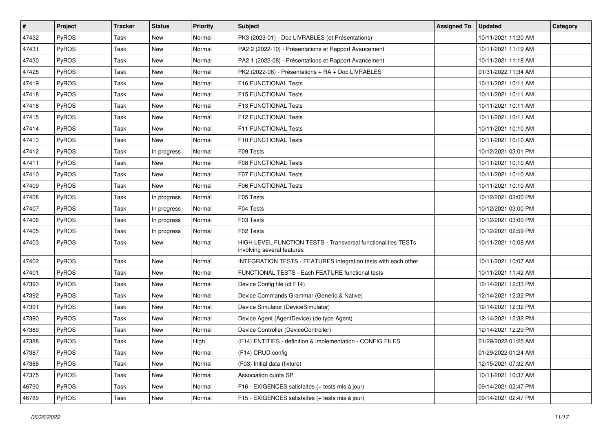| #     | Project | <b>Tracker</b> | <b>Status</b> | <b>Priority</b> | Subject                                                                                     | <b>Assigned To</b> | <b>Updated</b>      | Category |
|-------|---------|----------------|---------------|-----------------|---------------------------------------------------------------------------------------------|--------------------|---------------------|----------|
| 47432 | PyROS   | Task           | New           | Normal          | PK3 (2023-01) - Doc LIVRABLES (et Présentations)                                            |                    | 10/11/2021 11:20 AM |          |
| 47431 | PyROS   | Task           | New           | Normal          | PA2.2 (2022-10) - Présentations et Rapport Avancement                                       |                    | 10/11/2021 11:19 AM |          |
| 47430 | PyROS   | Task           | New           | Normal          | PA2.1 (2022-08) - Présentations et Rapport Avancement                                       |                    | 10/11/2021 11:18 AM |          |
| 47428 | PyROS   | Task           | New           | Normal          | PK2 (2022-06) - Présentations + RA + Doc LIVRABLES                                          |                    | 01/31/2022 11:34 AM |          |
| 47419 | PyROS   | Task           | New           | Normal          | F16 FUNCTIONAL Tests                                                                        |                    | 10/11/2021 10:11 AM |          |
| 47418 | PyROS   | Task           | New           | Normal          | F15 FUNCTIONAL Tests                                                                        |                    | 10/11/2021 10:11 AM |          |
| 47416 | PyROS   | Task           | <b>New</b>    | Normal          | F13 FUNCTIONAL Tests                                                                        |                    | 10/11/2021 10:11 AM |          |
| 47415 | PyROS   | Task           | New           | Normal          | F12 FUNCTIONAL Tests                                                                        |                    | 10/11/2021 10:11 AM |          |
| 47414 | PyROS   | Task           | New           | Normal          | F11 FUNCTIONAL Tests                                                                        |                    | 10/11/2021 10:10 AM |          |
| 47413 | PyROS   | Task           | <b>New</b>    | Normal          | F10 FUNCTIONAL Tests                                                                        |                    | 10/11/2021 10:10 AM |          |
| 47412 | PyROS   | Task           | In progress   | Normal          | F09 Tests                                                                                   |                    | 10/12/2021 03:01 PM |          |
| 47411 | PyROS   | Task           | <b>New</b>    | Normal          | <b>F08 FUNCTIONAL Tests</b>                                                                 |                    | 10/11/2021 10:10 AM |          |
| 47410 | PyROS   | Task           | New           | Normal          | <b>F07 FUNCTIONAL Tests</b>                                                                 |                    | 10/11/2021 10:10 AM |          |
| 47409 | PyROS   | Task           | <b>New</b>    | Normal          | <b>F06 FUNCTIONAL Tests</b>                                                                 |                    | 10/11/2021 10:10 AM |          |
| 47408 | PyROS   | Task           | In progress   | Normal          | F05 Tests                                                                                   |                    | 10/12/2021 03:00 PM |          |
| 47407 | PyROS   | Task           | In progress   | Normal          | F04 Tests                                                                                   |                    | 10/12/2021 03:00 PM |          |
| 47406 | PyROS   | Task           | In progress   | Normal          | F03 Tests                                                                                   |                    | 10/12/2021 03:00 PM |          |
| 47405 | PyROS   | Task           | In progress   | Normal          | F02 Tests                                                                                   |                    | 10/12/2021 02:59 PM |          |
| 47403 | PyROS   | Task           | New           | Normal          | HIGH LEVEL FUNCTION TESTS - Transversal functionalities TESTs<br>involving several features |                    | 10/11/2021 10:08 AM |          |
| 47402 | PyROS   | Task           | New           | Normal          | INTEGRATION TESTS - FEATURES integration tests with each other                              |                    | 10/11/2021 10:07 AM |          |
| 47401 | PyROS   | Task           | New           | Normal          | FUNCTIONAL TESTS - Each FEATURE functional tests                                            |                    | 10/11/2021 11:42 AM |          |
| 47393 | PyROS   | Task           | New           | Normal          | Device Config file (cf F14)                                                                 |                    | 12/14/2021 12:33 PM |          |
| 47392 | PyROS   | Task           | New           | Normal          | Device Commands Grammar (Generic & Native)                                                  |                    | 12/14/2021 12:32 PM |          |
| 47391 | PyROS   | Task           | New           | Normal          | Device Simulator (DeviceSimulator)                                                          |                    | 12/14/2021 12:32 PM |          |
| 47390 | PyROS   | Task           | New           | Normal          | Device Agent (AgentDevice) (de type Agent)                                                  |                    | 12/14/2021 12:32 PM |          |
| 47389 | PyROS   | Task           | New           | Normal          | Device Controller (DeviceController)                                                        |                    | 12/14/2021 12:29 PM |          |
| 47388 | PyROS   | Task           | New           | High            | (F14) ENTITIES - definition & implementation - CONFIG FILES                                 |                    | 01/29/2022 01:25 AM |          |
| 47387 | PyROS   | Task           | New           | Normal          | (F14) CRUD config                                                                           |                    | 01/29/2022 01:24 AM |          |
| 47386 | PyROS   | Task           | New           | Normal          | (F03) Initial data (fixture)                                                                |                    | 12/15/2021 07:32 AM |          |
| 47375 | PyROS   | Task           | New           | Normal          | Association quota SP                                                                        |                    | 10/11/2021 10:37 AM |          |
| 46790 | PyROS   | Task           | New           | Normal          | F16 - EXIGENCES satisfaites (+ tests mis à jour)                                            |                    | 09/14/2021 02:47 PM |          |
| 46789 | PyROS   | Task           | New           | Normal          | F15 - EXIGENCES satisfaites (+ tests mis à jour)                                            |                    | 09/14/2021 02:47 PM |          |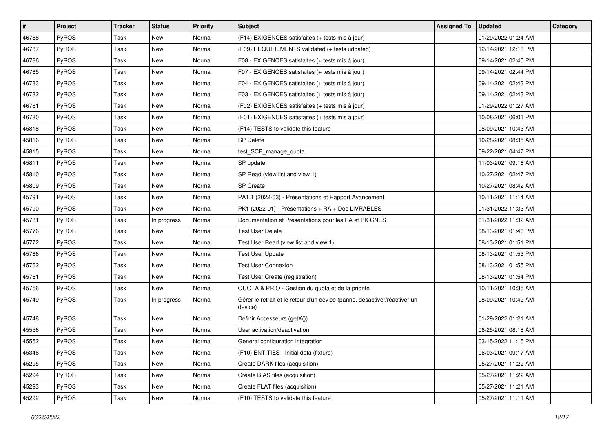| #     | Project      | <b>Tracker</b> | <b>Status</b> | <b>Priority</b> | <b>Subject</b>                                                                       | <b>Assigned To</b> | <b>Updated</b>      | Category |
|-------|--------------|----------------|---------------|-----------------|--------------------------------------------------------------------------------------|--------------------|---------------------|----------|
| 46788 | PyROS        | Task           | New           | Normal          | (F14) EXIGENCES satisfaites (+ tests mis à jour)                                     |                    | 01/29/2022 01:24 AM |          |
| 46787 | PyROS        | Task           | New           | Normal          | (F09) REQUIREMENTS validated (+ tests udpated)                                       |                    | 12/14/2021 12:18 PM |          |
| 46786 | PyROS        | Task           | New           | Normal          | F08 - EXIGENCES satisfaites (+ tests mis à jour)                                     |                    | 09/14/2021 02:45 PM |          |
| 46785 | PyROS        | Task           | New           | Normal          | F07 - EXIGENCES satisfaites (+ tests mis à jour)                                     |                    | 09/14/2021 02:44 PM |          |
| 46783 | PyROS        | Task           | New           | Normal          | F04 - EXIGENCES satisfaites (+ tests mis à jour)                                     |                    | 09/14/2021 02:43 PM |          |
| 46782 | PyROS        | Task           | New           | Normal          | F03 - EXIGENCES satisfaites (+ tests mis à jour)                                     |                    | 09/14/2021 02:43 PM |          |
| 46781 | PyROS        | Task           | New           | Normal          | (F02) EXIGENCES satisfaites (+ tests mis à jour)                                     |                    | 01/29/2022 01:27 AM |          |
| 46780 | PyROS        | Task           | New           | Normal          | (F01) EXIGENCES satisfaites (+ tests mis à jour)                                     |                    | 10/08/2021 06:01 PM |          |
| 45818 | PyROS        | Task           | New           | Normal          | (F14) TESTS to validate this feature                                                 |                    | 08/09/2021 10:43 AM |          |
| 45816 | PyROS        | Task           | New           | Normal          | SP Delete                                                                            |                    | 10/28/2021 08:35 AM |          |
| 45815 | PyROS        | Task           | New           | Normal          | test_SCP_manage_quota                                                                |                    | 09/22/2021 04:47 PM |          |
| 45811 | PyROS        | Task           | <b>New</b>    | Normal          | SP update                                                                            |                    | 11/03/2021 09:16 AM |          |
| 45810 | <b>PyROS</b> | Task           | New           | Normal          | SP Read (view list and view 1)                                                       |                    | 10/27/2021 02:47 PM |          |
| 45809 | PyROS        | Task           | New           | Normal          | <b>SP Create</b>                                                                     |                    | 10/27/2021 08:42 AM |          |
| 45791 | PyROS        | Task           | New           | Normal          | PA1.1 (2022-03) - Présentations et Rapport Avancement                                |                    | 10/11/2021 11:14 AM |          |
| 45790 | PyROS        | Task           | New           | Normal          | PK1 (2022-01) - Présentations + RA + Doc LIVRABLES                                   |                    | 01/31/2022 11:33 AM |          |
| 45781 | PyROS        | Task           | In progress   | Normal          | Documentation et Présentations pour les PA et PK CNES                                |                    | 01/31/2022 11:32 AM |          |
| 45776 | PyROS        | Task           | New           | Normal          | <b>Test User Delete</b>                                                              |                    | 08/13/2021 01:46 PM |          |
| 45772 | PyROS        | Task           | New           | Normal          | Test User Read (view list and view 1)                                                |                    | 08/13/2021 01:51 PM |          |
| 45766 | PyROS        | Task           | New           | Normal          | <b>Test User Update</b>                                                              |                    | 08/13/2021 01:53 PM |          |
| 45762 | PyROS        | Task           | New           | Normal          | <b>Test User Connexion</b>                                                           |                    | 08/13/2021 01:55 PM |          |
| 45761 | PyROS        | Task           | New           | Normal          | Test User Create (registration)                                                      |                    | 08/13/2021 01:54 PM |          |
| 45756 | PyROS        | Task           | New           | Normal          | QUOTA & PRIO - Gestion du quota et de la priorité                                    |                    | 10/11/2021 10:35 AM |          |
| 45749 | PyROS        | Task           | In progress   | Normal          | Gérer le retrait et le retour d'un device (panne, désactiver/réactiver un<br>device) |                    | 08/09/2021 10:42 AM |          |
| 45748 | PyROS        | Task           | New           | Normal          | Définir Accesseurs (getX())                                                          |                    | 01/29/2022 01:21 AM |          |
| 45556 | PyROS        | Task           | New           | Normal          | User activation/deactivation                                                         |                    | 06/25/2021 08:18 AM |          |
| 45552 | PyROS        | Task           | New           | Normal          | General configuration integration                                                    |                    | 03/15/2022 11:15 PM |          |
| 45346 | PyROS        | Task           | New           | Normal          | (F10) ENTITIES - Initial data (fixture)                                              |                    | 06/03/2021 09:17 AM |          |
| 45295 | PyROS        | Task           | New           | Normal          | Create DARK files (acquisition)                                                      |                    | 05/27/2021 11:22 AM |          |
| 45294 | PyROS        | Task           | New           | Normal          | Create BIAS files (acquisition)                                                      |                    | 05/27/2021 11:22 AM |          |
| 45293 | PyROS        | Task           | New           | Normal          | Create FLAT files (acquisition)                                                      |                    | 05/27/2021 11:21 AM |          |
| 45292 | PyROS        | Task           | New           | Normal          | (F10) TESTS to validate this feature                                                 |                    | 05/27/2021 11:11 AM |          |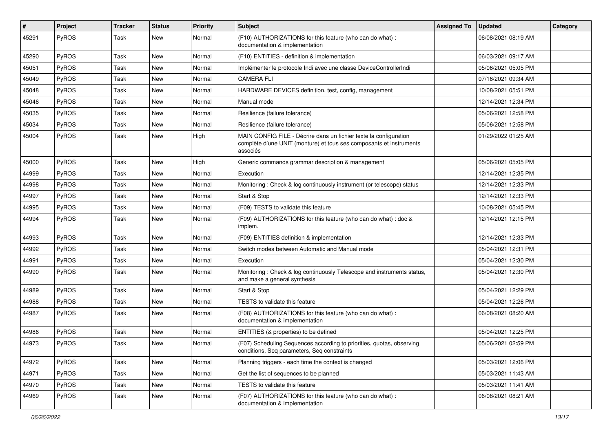| #     | Project      | <b>Tracker</b> | <b>Status</b> | Priority | <b>Subject</b>                                                                                                                                       | <b>Assigned To</b> | <b>Updated</b>      | Category |
|-------|--------------|----------------|---------------|----------|------------------------------------------------------------------------------------------------------------------------------------------------------|--------------------|---------------------|----------|
| 45291 | PyROS        | Task           | New           | Normal   | (F10) AUTHORIZATIONS for this feature (who can do what) :<br>documentation & implementation                                                          |                    | 06/08/2021 08:19 AM |          |
| 45290 | PyROS        | Task           | New           | Normal   | (F10) ENTITIES - definition & implementation                                                                                                         |                    | 06/03/2021 09:17 AM |          |
| 45051 | PyROS        | Task           | New           | Normal   | Implémenter le protocole Indi avec une classe DeviceControllerIndi                                                                                   |                    | 05/06/2021 05:05 PM |          |
| 45049 | PyROS        | Task           | <b>New</b>    | Normal   | <b>CAMERA FLI</b>                                                                                                                                    |                    | 07/16/2021 09:34 AM |          |
| 45048 | PyROS        | Task           | New           | Normal   | HARDWARE DEVICES definition, test, config, management                                                                                                |                    | 10/08/2021 05:51 PM |          |
| 45046 | PyROS        | Task           | New           | Normal   | Manual mode                                                                                                                                          |                    | 12/14/2021 12:34 PM |          |
| 45035 | <b>PyROS</b> | Task           | New           | Normal   | Resilience (failure tolerance)                                                                                                                       |                    | 05/06/2021 12:58 PM |          |
| 45034 | PyROS        | Task           | New           | Normal   | Resilience (failure tolerance)                                                                                                                       |                    | 05/06/2021 12:58 PM |          |
| 45004 | PyROS        | Task           | New           | High     | MAIN CONFIG FILE - Décrire dans un fichier texte la configuration<br>complète d'une UNIT (monture) et tous ses composants et instruments<br>associés |                    | 01/29/2022 01:25 AM |          |
| 45000 | PyROS        | Task           | <b>New</b>    | High     | Generic commands grammar description & management                                                                                                    |                    | 05/06/2021 05:05 PM |          |
| 44999 | PyROS        | Task           | New           | Normal   | Execution                                                                                                                                            |                    | 12/14/2021 12:35 PM |          |
| 44998 | PyROS        | Task           | <b>New</b>    | Normal   | Monitoring: Check & log continuously instrument (or telescope) status                                                                                |                    | 12/14/2021 12:33 PM |          |
| 44997 | <b>PyROS</b> | Task           | New           | Normal   | Start & Stop                                                                                                                                         |                    | 12/14/2021 12:33 PM |          |
| 44995 | PyROS        | Task           | New           | Normal   | (F09) TESTS to validate this feature                                                                                                                 |                    | 10/08/2021 05:45 PM |          |
| 44994 | PyROS        | Task           | New           | Normal   | (F09) AUTHORIZATIONS for this feature (who can do what) : doc &<br>implem.                                                                           |                    | 12/14/2021 12:15 PM |          |
| 44993 | PyROS        | Task           | New           | Normal   | (F09) ENTITIES definition & implementation                                                                                                           |                    | 12/14/2021 12:33 PM |          |
| 44992 | PyROS        | Task           | New           | Normal   | Switch modes between Automatic and Manual mode                                                                                                       |                    | 05/04/2021 12:31 PM |          |
| 44991 | PyROS        | Task           | New           | Normal   | Execution                                                                                                                                            |                    | 05/04/2021 12:30 PM |          |
| 44990 | PyROS        | Task           | New           | Normal   | Monitoring: Check & log continuously Telescope and instruments status,<br>and make a general synthesis                                               |                    | 05/04/2021 12:30 PM |          |
| 44989 | PyROS        | Task           | New           | Normal   | Start & Stop                                                                                                                                         |                    | 05/04/2021 12:29 PM |          |
| 44988 | PyROS        | Task           | New           | Normal   | <b>TESTS</b> to validate this feature                                                                                                                |                    | 05/04/2021 12:26 PM |          |
| 44987 | PyROS        | Task           | New           | Normal   | (F08) AUTHORIZATIONS for this feature (who can do what) :<br>documentation & implementation                                                          |                    | 06/08/2021 08:20 AM |          |
| 44986 | PyROS        | Task           | New           | Normal   | ENTITIES (& properties) to be defined                                                                                                                |                    | 05/04/2021 12:25 PM |          |
| 44973 | PyROS        | Task           | New           | Normal   | (F07) Scheduling Sequences according to priorities, quotas, observing<br>conditions, Seq parameters, Seq constraints                                 |                    | 05/06/2021 02:59 PM |          |
| 44972 | PyROS        | Task           | New           | Normal   | Planning triggers - each time the context is changed                                                                                                 |                    | 05/03/2021 12:06 PM |          |
| 44971 | PyROS        | Task           | New           | Normal   | Get the list of sequences to be planned                                                                                                              |                    | 05/03/2021 11:43 AM |          |
| 44970 | PyROS        | Task           | New           | Normal   | TESTS to validate this feature                                                                                                                       |                    | 05/03/2021 11:41 AM |          |
| 44969 | PyROS        | Task           | New           | Normal   | (F07) AUTHORIZATIONS for this feature (who can do what) :<br>documentation & implementation                                                          |                    | 06/08/2021 08:21 AM |          |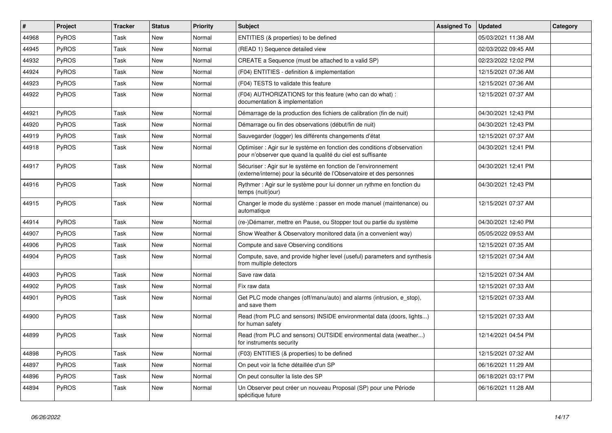| #     | Project      | <b>Tracker</b> | <b>Status</b> | <b>Priority</b> | <b>Subject</b>                                                                                                                          | <b>Assigned To</b> | <b>Updated</b>      | Category |
|-------|--------------|----------------|---------------|-----------------|-----------------------------------------------------------------------------------------------------------------------------------------|--------------------|---------------------|----------|
| 44968 | PyROS        | Task           | New           | Normal          | ENTITIES (& properties) to be defined                                                                                                   |                    | 05/03/2021 11:38 AM |          |
| 44945 | <b>PyROS</b> | Task           | New           | Normal          | (READ 1) Sequence detailed view                                                                                                         |                    | 02/03/2022 09:45 AM |          |
| 44932 | PyROS        | Task           | <b>New</b>    | Normal          | CREATE a Sequence (must be attached to a valid SP)                                                                                      |                    | 02/23/2022 12:02 PM |          |
| 44924 | PyROS        | Task           | New           | Normal          | (F04) ENTITIES - definition & implementation                                                                                            |                    | 12/15/2021 07:36 AM |          |
| 44923 | PyROS        | Task           | <b>New</b>    | Normal          | (F04) TESTS to validate this feature                                                                                                    |                    | 12/15/2021 07:36 AM |          |
| 44922 | PyROS        | Task           | <b>New</b>    | Normal          | (F04) AUTHORIZATIONS for this feature (who can do what) :<br>documentation & implementation                                             |                    | 12/15/2021 07:37 AM |          |
| 44921 | PyROS        | Task           | New           | Normal          | Démarrage de la production des fichiers de calibration (fin de nuit)                                                                    |                    | 04/30/2021 12:43 PM |          |
| 44920 | PyROS        | Task           | <b>New</b>    | Normal          | Démarrage ou fin des observations (début/fin de nuit)                                                                                   |                    | 04/30/2021 12:43 PM |          |
| 44919 | PyROS        | Task           | New           | Normal          | Sauvegarder (logger) les différents changements d'état                                                                                  |                    | 12/15/2021 07:37 AM |          |
| 44918 | <b>PyROS</b> | Task           | <b>New</b>    | Normal          | Optimiser : Agir sur le système en fonction des conditions d'observation<br>pour n'observer que quand la qualité du ciel est suffisante |                    | 04/30/2021 12:41 PM |          |
| 44917 | <b>PyROS</b> | Task           | <b>New</b>    | Normal          | Sécuriser : Agir sur le système en fonction de l'environnement<br>(externe/interne) pour la sécurité de l'Observatoire et des personnes |                    | 04/30/2021 12:41 PM |          |
| 44916 | PyROS        | Task           | <b>New</b>    | Normal          | Rythmer : Agir sur le système pour lui donner un rythme en fonction du<br>temps (nuit/jour)                                             |                    | 04/30/2021 12:43 PM |          |
| 44915 | PyROS        | Task           | <b>New</b>    | Normal          | Changer le mode du système : passer en mode manuel (maintenance) ou<br>automatique                                                      |                    | 12/15/2021 07:37 AM |          |
| 44914 | <b>PyROS</b> | Task           | <b>New</b>    | Normal          | (re-)Démarrer, mettre en Pause, ou Stopper tout ou partie du système                                                                    |                    | 04/30/2021 12:40 PM |          |
| 44907 | PyROS        | Task           | New           | Normal          | Show Weather & Observatory monitored data (in a convenient way)                                                                         |                    | 05/05/2022 09:53 AM |          |
| 44906 | PyROS        | Task           | New           | Normal          | Compute and save Observing conditions                                                                                                   |                    | 12/15/2021 07:35 AM |          |
| 44904 | PyROS        | Task           | New           | Normal          | Compute, save, and provide higher level (useful) parameters and synthesis<br>from multiple detectors                                    |                    | 12/15/2021 07:34 AM |          |
| 44903 | PyROS        | Task           | <b>New</b>    | Normal          | Save raw data                                                                                                                           |                    | 12/15/2021 07:34 AM |          |
| 44902 | PyROS        | Task           | <b>New</b>    | Normal          | Fix raw data                                                                                                                            |                    | 12/15/2021 07:33 AM |          |
| 44901 | PyROS        | Task           | <b>New</b>    | Normal          | Get PLC mode changes (off/manu/auto) and alarms (intrusion, e_stop),<br>and save them                                                   |                    | 12/15/2021 07:33 AM |          |
| 44900 | PyROS        | Task           | New           | Normal          | Read (from PLC and sensors) INSIDE environmental data (doors, lights)<br>for human safety                                               |                    | 12/15/2021 07:33 AM |          |
| 44899 | PyROS        | Task           | <b>New</b>    | Normal          | Read (from PLC and sensors) OUTSIDE environmental data (weather)<br>for instruments security                                            |                    | 12/14/2021 04:54 PM |          |
| 44898 | PyROS        | Task           | <b>New</b>    | Normal          | (F03) ENTITIES (& properties) to be defined                                                                                             |                    | 12/15/2021 07:32 AM |          |
| 44897 | PyROS        | Task           | <b>New</b>    | Normal          | On peut voir la fiche détaillée d'un SP                                                                                                 |                    | 06/16/2021 11:29 AM |          |
| 44896 | PyROS        | Task           | New           | Normal          | On peut consulter la liste des SP                                                                                                       |                    | 06/18/2021 03:17 PM |          |
| 44894 | PyROS        | Task           | <b>New</b>    | Normal          | Un Observer peut créer un nouveau Proposal (SP) pour une Période<br>spécifique future                                                   |                    | 06/16/2021 11:28 AM |          |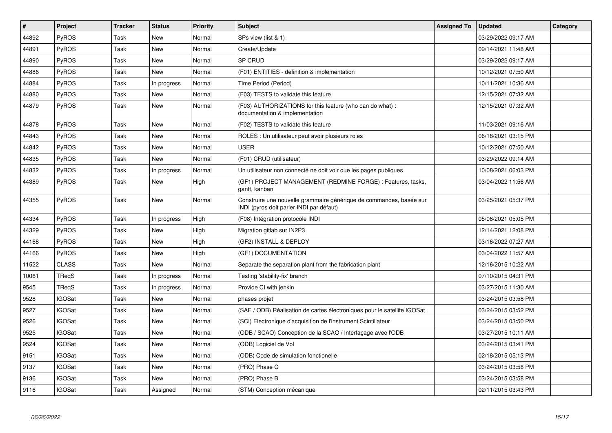| $\vert$ # | <b>Project</b> | <b>Tracker</b> | <b>Status</b> | Priority | <b>Subject</b>                                                                                                  | <b>Assigned To</b> | <b>Updated</b>      | Category |
|-----------|----------------|----------------|---------------|----------|-----------------------------------------------------------------------------------------------------------------|--------------------|---------------------|----------|
| 44892     | PyROS          | Task           | New           | Normal   | SPs view (list & 1)                                                                                             |                    | 03/29/2022 09:17 AM |          |
| 44891     | PyROS          | Task           | <b>New</b>    | Normal   | Create/Update                                                                                                   |                    | 09/14/2021 11:48 AM |          |
| 44890     | PyROS          | Task           | New           | Normal   | SP CRUD                                                                                                         |                    | 03/29/2022 09:17 AM |          |
| 44886     | PyROS          | Task           | <b>New</b>    | Normal   | (F01) ENTITIES - definition & implementation                                                                    |                    | 10/12/2021 07:50 AM |          |
| 44884     | PyROS          | Task           | In progress   | Normal   | Time Period (Period)                                                                                            |                    | 10/11/2021 10:36 AM |          |
| 44880     | PyROS          | Task           | New           | Normal   | (F03) TESTS to validate this feature                                                                            |                    | 12/15/2021 07:32 AM |          |
| 44879     | PyROS          | Task           | New           | Normal   | (F03) AUTHORIZATIONS for this feature (who can do what) :<br>documentation & implementation                     |                    | 12/15/2021 07:32 AM |          |
| 44878     | PyROS          | Task           | New           | Normal   | (F02) TESTS to validate this feature                                                                            |                    | 11/03/2021 09:16 AM |          |
| 44843     | PyROS          | Task           | New           | Normal   | ROLES : Un utilisateur peut avoir plusieurs roles                                                               |                    | 06/18/2021 03:15 PM |          |
| 44842     | PyROS          | Task           | New           | Normal   | <b>USER</b>                                                                                                     |                    | 10/12/2021 07:50 AM |          |
| 44835     | PyROS          | Task           | <b>New</b>    | Normal   | (F01) CRUD (utilisateur)                                                                                        |                    | 03/29/2022 09:14 AM |          |
| 44832     | PyROS          | Task           | In progress   | Normal   | Un utilisateur non connecté ne doit voir que les pages publiques                                                |                    | 10/08/2021 06:03 PM |          |
| 44389     | PyROS          | Task           | <b>New</b>    | High     | (GF1) PROJECT MANAGEMENT (REDMINE FORGE) : Features, tasks,<br>gantt, kanban                                    |                    | 03/04/2022 11:56 AM |          |
| 44355     | PyROS          | Task           | <b>New</b>    | Normal   | Construire une nouvelle grammaire générique de commandes, basée sur<br>INDI (pyros doit parler INDI par défaut) |                    | 03/25/2021 05:37 PM |          |
| 44334     | PyROS          | Task           | In progress   | High     | (F08) Intégration protocole INDI                                                                                |                    | 05/06/2021 05:05 PM |          |
| 44329     | PyROS          | Task           | New           | High     | Migration gitlab sur IN2P3                                                                                      |                    | 12/14/2021 12:08 PM |          |
| 44168     | PyROS          | Task           | New           | High     | (GF2) INSTALL & DEPLOY                                                                                          |                    | 03/16/2022 07:27 AM |          |
| 44166     | PyROS          | Task           | New           | High     | (GF1) DOCUMENTATION                                                                                             |                    | 03/04/2022 11:57 AM |          |
| 11522     | <b>CLASS</b>   | Task           | <b>New</b>    | Normal   | Separate the separation plant from the fabrication plant                                                        |                    | 12/16/2015 10:22 AM |          |
| 10061     | TReqS          | Task           | In progress   | Normal   | Testing 'stability-fix' branch                                                                                  |                    | 07/10/2015 04:31 PM |          |
| 9545      | TReqS          | Task           | In progress   | Normal   | Provide CI with jenkin                                                                                          |                    | 03/27/2015 11:30 AM |          |
| 9528      | <b>IGOSat</b>  | Task           | <b>New</b>    | Normal   | phases projet                                                                                                   |                    | 03/24/2015 03:58 PM |          |
| 9527      | <b>IGOSat</b>  | Task           | <b>New</b>    | Normal   | (SAE / ODB) Réalisation de cartes électroniques pour le satellite IGOSat                                        |                    | 03/24/2015 03:52 PM |          |
| 9526      | <b>IGOSat</b>  | Task           | <b>New</b>    | Normal   | (SCI) Electronique d'acquisition de l'instrument Scintillateur                                                  |                    | 03/24/2015 03:50 PM |          |
| 9525      | <b>IGOSat</b>  | Task           | New           | Normal   | (ODB / SCAO) Conception de la SCAO / Interfaçage avec l'ODB                                                     |                    | 03/27/2015 10:11 AM |          |
| 9524      | <b>IGOSat</b>  | Task           | New           | Normal   | (ODB) Logiciel de Vol                                                                                           |                    | 03/24/2015 03:41 PM |          |
| 9151      | <b>IGOSat</b>  | Task           | New           | Normal   | (ODB) Code de simulation fonctionelle                                                                           |                    | 02/18/2015 05:13 PM |          |
| 9137      | <b>IGOSat</b>  | Task           | New           | Normal   | (PRO) Phase C                                                                                                   |                    | 03/24/2015 03:58 PM |          |
| 9136      | IGOSat         | Task           | New           | Normal   | (PRO) Phase B                                                                                                   |                    | 03/24/2015 03:58 PM |          |
| 9116      | <b>IGOSat</b>  | Task           | Assigned      | Normal   | (STM) Conception mécanique                                                                                      |                    | 02/11/2015 03:43 PM |          |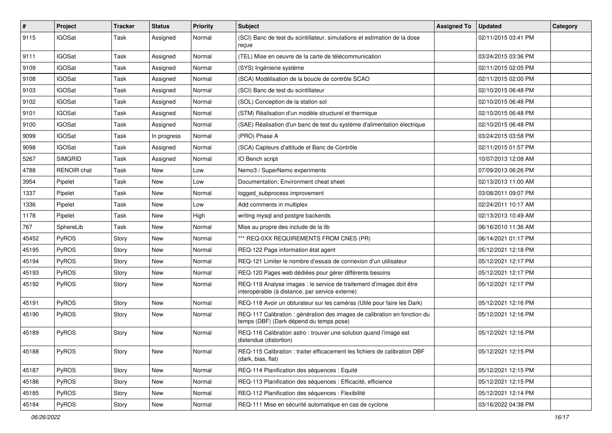| $\sharp$ | Project            | <b>Tracker</b> | <b>Status</b> | <b>Priority</b> | Subject                                                                                                                 | <b>Assigned To</b> | <b>Updated</b>      | Category |
|----------|--------------------|----------------|---------------|-----------------|-------------------------------------------------------------------------------------------------------------------------|--------------------|---------------------|----------|
| 9115     | <b>IGOSat</b>      | Task           | Assigned      | Normal          | (SCI) Banc de test du scintillateur, simulations et estimation de la dose<br>reçue                                      |                    | 02/11/2015 03:41 PM |          |
| 9111     | <b>IGOSat</b>      | Task           | Assigned      | Normal          | (TEL) Mise en oeuvre de la carte de télécommunication                                                                   |                    | 03/24/2015 03:36 PM |          |
| 9109     | <b>IGOSat</b>      | Task           | Assigned      | Normal          | (SYS) Ingénierie système                                                                                                |                    | 02/11/2015 02:05 PM |          |
| 9108     | <b>IGOSat</b>      | Task           | Assigned      | Normal          | (SCA) Modélisation de la boucle de contrôle SCAO                                                                        |                    | 02/11/2015 02:00 PM |          |
| 9103     | <b>IGOSat</b>      | Task           | Assigned      | Normal          | (SCI) Banc de test du scintillateur                                                                                     |                    | 02/10/2015 06:48 PM |          |
| 9102     | <b>IGOSat</b>      | Task           | Assigned      | Normal          | (SOL) Conception de la station sol                                                                                      |                    | 02/10/2015 06:48 PM |          |
| 9101     | <b>IGOSat</b>      | Task           | Assigned      | Normal          | (STM) Réalisation d'un modèle structurel et thermique                                                                   |                    | 02/10/2015 06:48 PM |          |
| 9100     | <b>IGOSat</b>      | Task           | Assigned      | Normal          | (SAE) Réalisation d'un banc de test du système d'alimentation électrique                                                |                    | 02/10/2015 06:48 PM |          |
| 9099     | <b>IGOSat</b>      | Task           | In progress   | Normal          | (PRO) Phase A                                                                                                           |                    | 03/24/2015 03:58 PM |          |
| 9098     | <b>IGOSat</b>      | Task           | Assigned      | Normal          | (SCA) Capteurs d'attitude et Banc de Contrôle                                                                           |                    | 02/11/2015 01:57 PM |          |
| 5267     | <b>SIMGRID</b>     | Task           | Assigned      | Normal          | IO Bench script                                                                                                         |                    | 10/07/2013 12:08 AM |          |
| 4788     | <b>RENOIR</b> chat | Task           | New           | Low             | Nemo3 / SuperNemo experiments                                                                                           |                    | 07/09/2013 06:26 PM |          |
| 3954     | Pipelet            | Task           | New           | Low             | Documentation: Environment cheat sheet                                                                                  |                    | 02/13/2013 11:00 AM |          |
| 1337     | Pipelet            | Task           | New           | Normal          | logged_subprocess improvement                                                                                           |                    | 03/08/2011 09:07 PM |          |
| 1336     | Pipelet            | Task           | New           | Low             | Add comments in multiplex                                                                                               |                    | 02/24/2011 10:17 AM |          |
| 1178     | Pipelet            | Task           | New           | High            | writing mysql and postgre backends                                                                                      |                    | 02/13/2013 10:49 AM |          |
| 767      | SphereLib          | Task           | <b>New</b>    | Normal          | Mise au propre des include de la lib                                                                                    |                    | 06/16/2010 11:36 AM |          |
| 45452    | PyROS              | Story          | New           | Normal          | *** REQ-0XX REQUIREMENTS FROM CNES (PR)                                                                                 |                    | 06/14/2021 01:17 PM |          |
| 45195    | PyROS              | Story          | <b>New</b>    | Normal          | REQ-122 Page information état agent                                                                                     |                    | 05/12/2021 12:18 PM |          |
| 45194    | PyROS              | Story          | New           | Normal          | REQ-121 Limiter le nombre d'essais de connexion d'un utilisateur                                                        |                    | 05/12/2021 12:17 PM |          |
| 45193    | PyROS              | Story          | New           | Normal          | REQ-120 Pages web dédiées pour gérer différents besoins                                                                 |                    | 05/12/2021 12:17 PM |          |
| 45192    | PyROS              | Story          | New           | Normal          | REQ-119 Analyse images : le service de traitement d'images doit être<br>interopérable (à distance, par service externe) |                    | 05/12/2021 12:17 PM |          |
| 45191    | PyROS              | Story          | New           | Normal          | REQ-118 Avoir un obturateur sur les caméras (Utile pour faire les Dark)                                                 |                    | 05/12/2021 12:16 PM |          |
| 45190    | PyROS              | Story          | New           | Normal          | REQ-117 Calibration : génération des images de calibration en fonction du<br>temps (DBF) (Dark dépend du temps pose)    |                    | 05/12/2021 12:16 PM |          |
| 45189    | PyROS              | Story          | New           | Normal          | REQ-116 Calibration astro: trouver une solution quand l'image est<br>distendue (distortion)                             |                    | 05/12/2021 12:16 PM |          |
| 45188    | PyROS              | Story          | New           | Normal          | REQ-115 Calibration : traiter efficacement les fichiers de calibration DBF<br>(dark, bias, flat)                        |                    | 05/12/2021 12:15 PM |          |
| 45187    | PyROS              | Story          | New           | Normal          | REQ-114 Planification des séquences : Equité                                                                            |                    | 05/12/2021 12:15 PM |          |
| 45186    | PyROS              | Story          | New           | Normal          | REQ-113 Planification des séquences : Efficacité, efficience                                                            |                    | 05/12/2021 12:15 PM |          |
| 45185    | PyROS              | Story          | New           | Normal          | REQ-112 Planification des séquences : Flexibilité                                                                       |                    | 05/12/2021 12:14 PM |          |
| 45184    | PyROS              | Story          | New           | Normal          | REQ-111 Mise en sécurité automatique en cas de cyclone                                                                  |                    | 03/16/2022 04:38 PM |          |